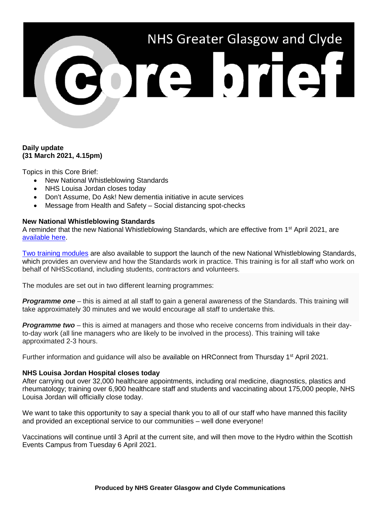# NHS Greater Glasgow and Clyde

# **Daily update (31 March 2021, 4.15pm)**

Topics in this Core Brief:

- New National Whistleblowing Standards
- NHS Louisa Jordan closes today
- Don't Assume, Do Ask! New dementia initiative in acute services
- Message from Health and Safety Social distancing spot-checks

## **New National Whistleblowing Standards**

A reminder that the new National Whistleblowing Standards, which are effective from 1<sup>st</sup> April 2021, are [available here.](https://inwo.spso.org.uk/national-whistleblowing-standards)

[Two training modules](https://learn.nes.nhs.scot/40284/national-whistleblowing-standards-training) are also available to support the launch of the new National Whistleblowing Standards, which provides an overview and how the Standards work in practice. This training is for all staff who work on behalf of NHSScotland, including students, contractors and volunteers.

The modules are set out in two different learning programmes:

**Programme one** – this is aimed at all staff to gain a general awareness of the Standards. This training will take approximately 30 minutes and we would encourage all staff to undertake this.

*Programme two* – this is aimed at managers and those who receive concerns from individuals in their dayto-day work (all line managers who are likely to be involved in the process). This training will take approximated 2-3 hours.

Further information and guidance will also be available on HRConnect from Thursday 1<sup>st</sup> April 2021.

### **NHS Louisa Jordan Hospital closes today**

After carrying out over 32,000 healthcare appointments, including oral medicine, diagnostics, plastics and rheumatology; training over 6,900 healthcare staff and students and vaccinating about 175,000 people, NHS Louisa Jordan will officially close today.

We want to take this opportunity to say a special thank you to all of our staff who have manned this facility and provided an exceptional service to our communities – well done everyone!

Vaccinations will continue until 3 April at the current site, and will then move to the Hydro within the Scottish Events Campus from Tuesday 6 April 2021.